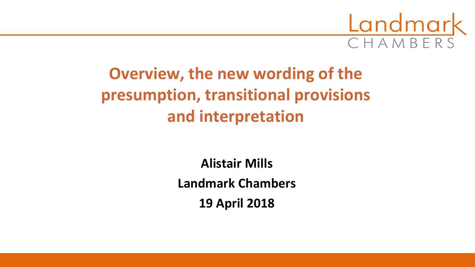

# **Overview, the new wording of the presumption, transitional provisions and interpretation**

**Alistair Mills Landmark Chambers 19 April 2018**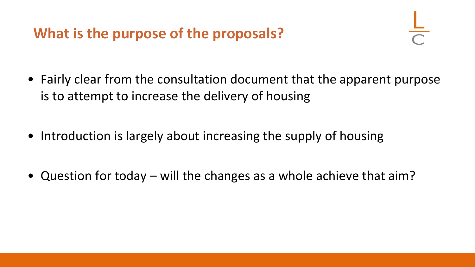## **What is the purpose of the proposals?**

- Fairly clear from the consultation document that the apparent purpose is to attempt to increase the delivery of housing
- Introduction is largely about increasing the supply of housing
- Question for today will the changes as a whole achieve that aim?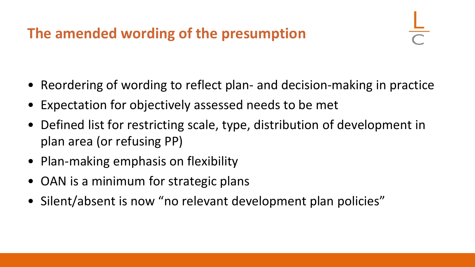# **The amended wording of the presumption**

- Reordering of wording to reflect plan- and decision-making in practice
- Expectation for objectively assessed needs to be met
- Defined list for restricting scale, type, distribution of development in plan area (or refusing PP)
- Plan-making emphasis on flexibility
- OAN is a minimum for strategic plans
- Silent/absent is now "no relevant development plan policies"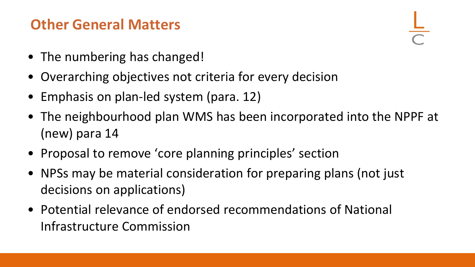### **Other General Matters**

- The numbering has changed!
- Overarching objectives not criteria for every decision
- Emphasis on plan-led system (para. 12)
- The neighbourhood plan WMS has been incorporated into the NPPF at (new) para 14
- Proposal to remove 'core planning principles' section
- NPSs may be material consideration for preparing plans (not just decisions on applications)
- Potential relevance of endorsed recommendations of National Infrastructure Commission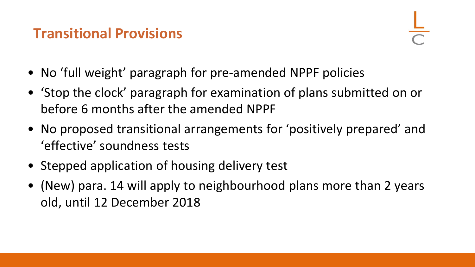### **Transitional Provisions**

- No 'full weight' paragraph for pre-amended NPPF policies
- 'Stop the clock' paragraph for examination of plans submitted on or before 6 months after the amended NPPF
- No proposed transitional arrangements for 'positively prepared' and 'effective' soundness tests
- Stepped application of housing delivery test
- (New) para. 14 will apply to neighbourhood plans more than 2 years old, until 12 December 2018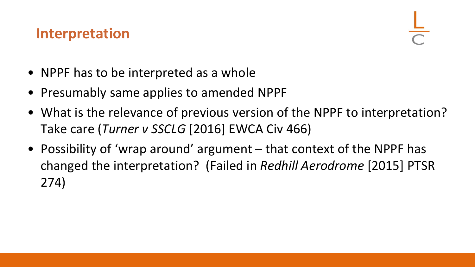#### **Interpretation**

- NPPF has to be interpreted as a whole
- Presumably same applies to amended NPPF
- What is the relevance of previous version of the NPPF to interpretation? Take care (*Turner v SSCLG* [2016] EWCA Civ 466)
- Possibility of 'wrap around' argument that context of the NPPF has changed the interpretation? (Failed in *Redhill Aerodrome* [2015] PTSR 274)